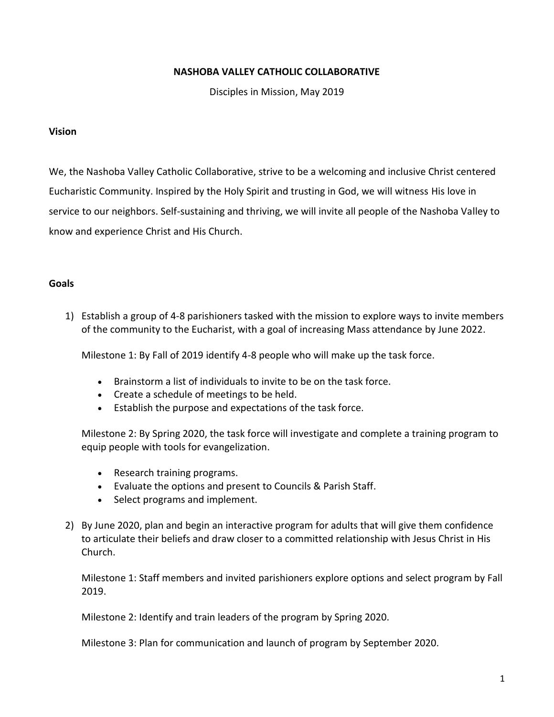## **NASHOBA VALLEY CATHOLIC COLLABORATIVE**

Disciples in Mission, May 2019

## **Vision**

We, the Nashoba Valley Catholic Collaborative, strive to be a welcoming and inclusive Christ centered Eucharistic Community. Inspired by the Holy Spirit and trusting in God, we will witness His love in service to our neighbors. Self-sustaining and thriving, we will invite all people of the Nashoba Valley to know and experience Christ and His Church.

## **Goals**

1) Establish a group of 4-8 parishioners tasked with the mission to explore ways to invite members of the community to the Eucharist, with a goal of increasing Mass attendance by June 2022.

Milestone 1: By Fall of 2019 identify 4-8 people who will make up the task force.

- Brainstorm a list of individuals to invite to be on the task force.
- Create a schedule of meetings to be held.
- Establish the purpose and expectations of the task force.

Milestone 2: By Spring 2020, the task force will investigate and complete a training program to equip people with tools for evangelization.

- Research training programs.
- Evaluate the options and present to Councils & Parish Staff.
- Select programs and implement.
- 2) By June 2020, plan and begin an interactive program for adults that will give them confidence to articulate their beliefs and draw closer to a committed relationship with Jesus Christ in His Church.

Milestone 1: Staff members and invited parishioners explore options and select program by Fall 2019.

Milestone 2: Identify and train leaders of the program by Spring 2020.

Milestone 3: Plan for communication and launch of program by September 2020.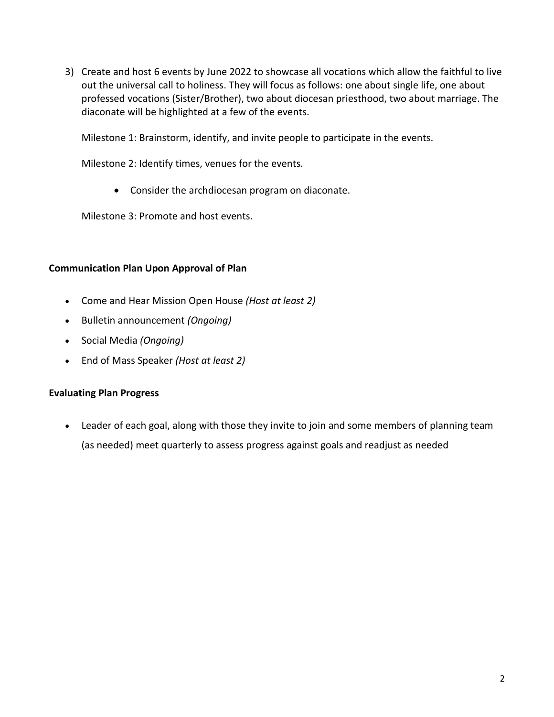3) Create and host 6 events by June 2022 to showcase all vocations which allow the faithful to live out the universal call to holiness. They will focus as follows: one about single life, one about professed vocations (Sister/Brother), two about diocesan priesthood, two about marriage. The diaconate will be highlighted at a few of the events.

Milestone 1: Brainstorm, identify, and invite people to participate in the events.

Milestone 2: Identify times, venues for the events.

• Consider the archdiocesan program on diaconate.

Milestone 3: Promote and host events.

## **Communication Plan Upon Approval of Plan**

- Come and Hear Mission Open House *(Host at least 2)*
- Bulletin announcement *(Ongoing)*
- Social Media *(Ongoing)*
- End of Mass Speaker *(Host at least 2)*

#### **Evaluating Plan Progress**

• Leader of each goal, along with those they invite to join and some members of planning team (as needed) meet quarterly to assess progress against goals and readjust as needed